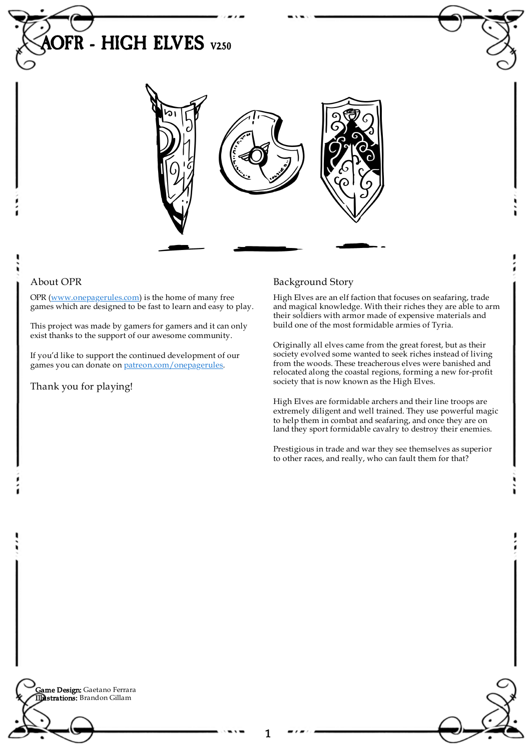



## About OPR

OPR [\(www.onepagerules.com](https://webapp.onepagerules.com/army-books/view/bPAtRGFrpFfyAjLW~6/https//www.onepagerules.com)) is the home of many free games which are designed to be fast to learn and easy to play.

This project was made by gamers for gamers and it can only exist thanks to the support of our awesome community.

If you'd like to support the continued development of our games you can donate on [patreon.com/onepagerules](https://www.patreon.com/onepagerules).

Thank you for playing!

## Background Story

High Elves are an elf faction that focuses on seafaring, trade and magical knowledge. With their riches they are able to arm their soldiers with armor made of expensive materials and build one of the most formidable armies of Tyria.

Originally all elves came from the great forest, but as their society evolved some wanted to seek riches instead of living from the woods. These treacherous elves were banished and relocated along the coastal regions, forming a new for-profit society that is now known as the High Elves.

High Elves are formidable archers and their line troops are extremely diligent and well trained. They use powerful magic to help them in combat and seafaring, and once they are on land they sport formidable cavalry to destroy their enemies.

Prestigious in trade and war they see themselves as superior to other races, and really, who can fault them for that?

**Game Design:** Gaetano Ferrara Illustrations: Brandon Gillam